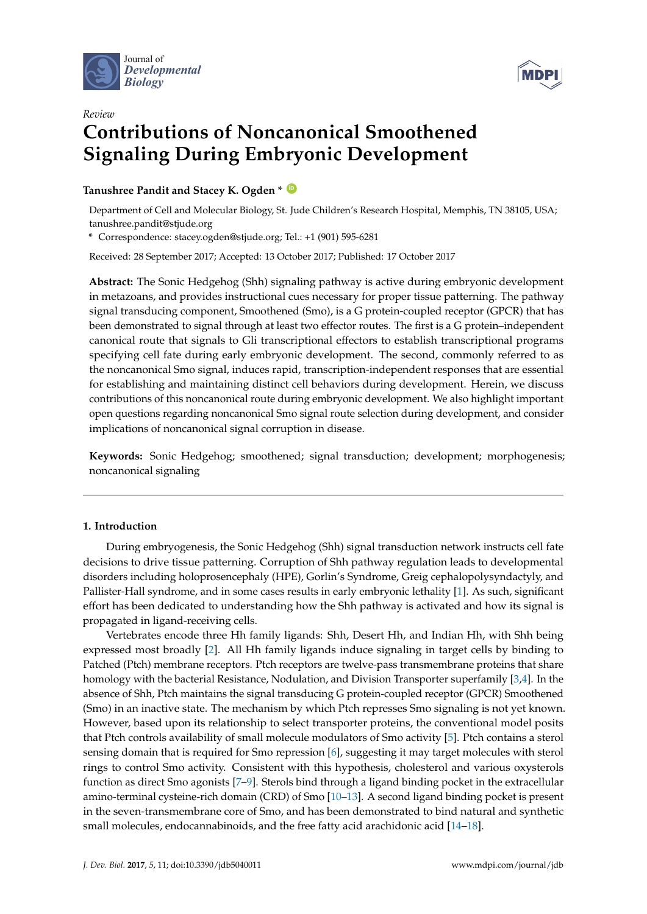



# *Review* **Contributions of Noncanonical Smoothened Signaling During Embryonic Development**

**Tanushree Pandit and Stacey K. Ogden \* [ID](https://orcid.org/0000-0001-8991-3065)**

Department of Cell and Molecular Biology, St. Jude Children's Research Hospital, Memphis, TN 38105, USA; tanushree.pandit@stjude.org

**\*** Correspondence: stacey.ogden@stjude.org; Tel.: +1 (901) 595-6281

Received: 28 September 2017; Accepted: 13 October 2017; Published: 17 October 2017

**Abstract:** The Sonic Hedgehog (Shh) signaling pathway is active during embryonic development in metazoans, and provides instructional cues necessary for proper tissue patterning. The pathway signal transducing component, Smoothened (Smo), is a G protein-coupled receptor (GPCR) that has been demonstrated to signal through at least two effector routes. The first is a G protein–independent canonical route that signals to Gli transcriptional effectors to establish transcriptional programs specifying cell fate during early embryonic development. The second, commonly referred to as the noncanonical Smo signal, induces rapid, transcription-independent responses that are essential for establishing and maintaining distinct cell behaviors during development. Herein, we discuss contributions of this noncanonical route during embryonic development. We also highlight important open questions regarding noncanonical Smo signal route selection during development, and consider implications of noncanonical signal corruption in disease.

**Keywords:** Sonic Hedgehog; smoothened; signal transduction; development; morphogenesis; noncanonical signaling

## **1. Introduction**

During embryogenesis, the Sonic Hedgehog (Shh) signal transduction network instructs cell fate decisions to drive tissue patterning. Corruption of Shh pathway regulation leads to developmental disorders including holoprosencephaly (HPE), Gorlin's Syndrome, Greig cephalopolysyndactyly, and Pallister-Hall syndrome, and in some cases results in early embryonic lethality [\[1\]](#page-7-0). As such, significant effort has been dedicated to understanding how the Shh pathway is activated and how its signal is propagated in ligand-receiving cells.

Vertebrates encode three Hh family ligands: Shh, Desert Hh, and Indian Hh, with Shh being expressed most broadly [\[2\]](#page-7-1). All Hh family ligands induce signaling in target cells by binding to Patched (Ptch) membrane receptors. Ptch receptors are twelve-pass transmembrane proteins that share homology with the bacterial Resistance, Nodulation, and Division Transporter superfamily [\[3](#page-7-2)[,4\]](#page-7-3). In the absence of Shh, Ptch maintains the signal transducing G protein-coupled receptor (GPCR) Smoothened (Smo) in an inactive state. The mechanism by which Ptch represses Smo signaling is not yet known. However, based upon its relationship to select transporter proteins, the conventional model posits that Ptch controls availability of small molecule modulators of Smo activity [\[5\]](#page-7-4). Ptch contains a sterol sensing domain that is required for Smo repression [\[6\]](#page-7-5), suggesting it may target molecules with sterol rings to control Smo activity. Consistent with this hypothesis, cholesterol and various oxysterols function as direct Smo agonists [\[7](#page-7-6)[–9\]](#page-7-7). Sterols bind through a ligand binding pocket in the extracellular amino-terminal cysteine-rich domain (CRD) of Smo [\[10](#page-8-0)[–13\]](#page-8-1). A second ligand binding pocket is present in the seven-transmembrane core of Smo, and has been demonstrated to bind natural and synthetic small molecules, endocannabinoids, and the free fatty acid arachidonic acid [\[14–](#page-8-2)[18\]](#page-8-3).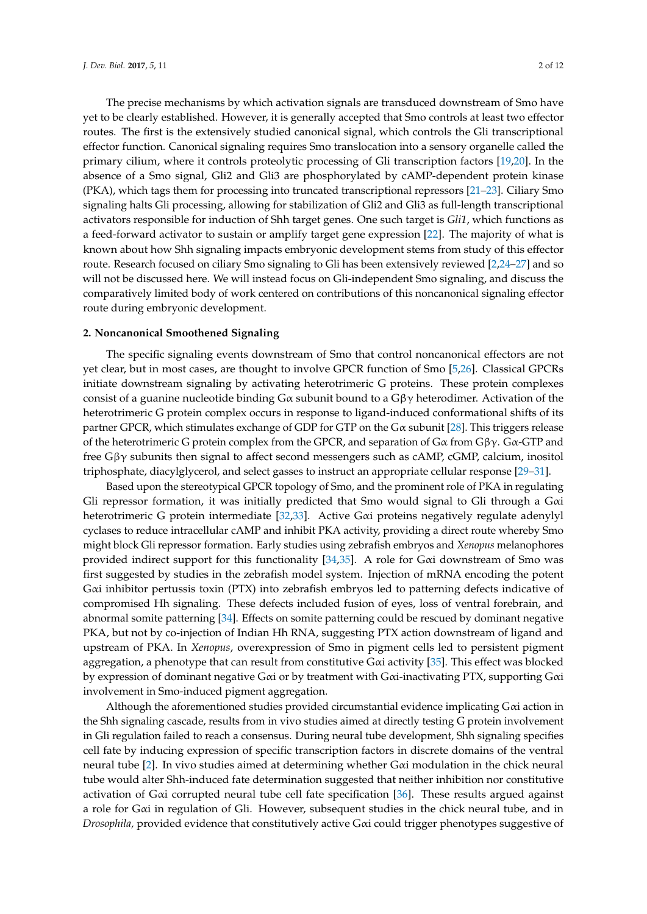The precise mechanisms by which activation signals are transduced downstream of Smo have yet to be clearly established. However, it is generally accepted that Smo controls at least two effector routes. The first is the extensively studied canonical signal, which controls the Gli transcriptional effector function. Canonical signaling requires Smo translocation into a sensory organelle called the primary cilium, where it controls proteolytic processing of Gli transcription factors [\[19](#page-8-4)[,20\]](#page-8-5). In the absence of a Smo signal, Gli2 and Gli3 are phosphorylated by cAMP-dependent protein kinase (PKA), which tags them for processing into truncated transcriptional repressors [\[21–](#page-8-6)[23\]](#page-8-7). Ciliary Smo signaling halts Gli processing, allowing for stabilization of Gli2 and Gli3 as full-length transcriptional activators responsible for induction of Shh target genes. One such target is *Gli1*, which functions as a feed-forward activator to sustain or amplify target gene expression [\[22\]](#page-8-8). The majority of what is known about how Shh signaling impacts embryonic development stems from study of this effector route. Research focused on ciliary Smo signaling to Gli has been extensively reviewed [\[2](#page-7-1)[,24–](#page-8-9)[27\]](#page-8-10) and so will not be discussed here. We will instead focus on Gli-independent Smo signaling, and discuss the comparatively limited body of work centered on contributions of this noncanonical signaling effector route during embryonic development.

#### **2. Noncanonical Smoothened Signaling**

The specific signaling events downstream of Smo that control noncanonical effectors are not yet clear, but in most cases, are thought to involve GPCR function of Smo [\[5](#page-7-4)[,26\]](#page-8-11). Classical GPCRs initiate downstream signaling by activating heterotrimeric G proteins. These protein complexes consist of a guanine nucleotide binding  $G\alpha$  subunit bound to a  $G\beta\gamma$  heterodimer. Activation of the heterotrimeric G protein complex occurs in response to ligand-induced conformational shifts of its partner GPCR, which stimulates exchange of GDP for GTP on the  $G\alpha$  subunit [\[28\]](#page-8-12). This triggers release of the heterotrimeric G protein complex from the GPCR, and separation of G $\alpha$  from G $\beta\gamma$ . G $\alpha$ -GTP and free  $G\beta\gamma$  subunits then signal to affect second messengers such as cAMP, cGMP, calcium, inositol triphosphate, diacylglycerol, and select gasses to instruct an appropriate cellular response [\[29–](#page-8-13)[31\]](#page-8-14).

Based upon the stereotypical GPCR topology of Smo, and the prominent role of PKA in regulating Gli repressor formation, it was initially predicted that Smo would signal to Gli through a Gαi heterotrimeric G protein intermediate [\[32,](#page-8-15)[33\]](#page-9-0). Active Gαi proteins negatively regulate adenylyl cyclases to reduce intracellular cAMP and inhibit PKA activity, providing a direct route whereby Smo might block Gli repressor formation. Early studies using zebrafish embryos and *Xenopus* melanophores provided indirect support for this functionality [\[34](#page-9-1)[,35\]](#page-9-2). A role for Gαi downstream of Smo was first suggested by studies in the zebrafish model system. Injection of mRNA encoding the potent Gαi inhibitor pertussis toxin (PTX) into zebrafish embryos led to patterning defects indicative of compromised Hh signaling. These defects included fusion of eyes, loss of ventral forebrain, and abnormal somite patterning [\[34\]](#page-9-1). Effects on somite patterning could be rescued by dominant negative PKA, but not by co-injection of Indian Hh RNA, suggesting PTX action downstream of ligand and upstream of PKA. In *Xenopus*, overexpression of Smo in pigment cells led to persistent pigment aggregation, a phenotype that can result from constitutive Gαi activity [\[35\]](#page-9-2). This effect was blocked by expression of dominant negative Gαi or by treatment with Gαi-inactivating PTX, supporting Gαi involvement in Smo-induced pigment aggregation.

Although the aforementioned studies provided circumstantial evidence implicating Gαi action in the Shh signaling cascade, results from in vivo studies aimed at directly testing G protein involvement in Gli regulation failed to reach a consensus. During neural tube development, Shh signaling specifies cell fate by inducing expression of specific transcription factors in discrete domains of the ventral neural tube [\[2\]](#page-7-1). In vivo studies aimed at determining whether Gαi modulation in the chick neural tube would alter Shh-induced fate determination suggested that neither inhibition nor constitutive activation of Gαi corrupted neural tube cell fate specification [\[36\]](#page-9-3). These results argued against a role for Gαi in regulation of Gli. However, subsequent studies in the chick neural tube, and in *Drosophila,* provided evidence that constitutively active Gαi could trigger phenotypes suggestive of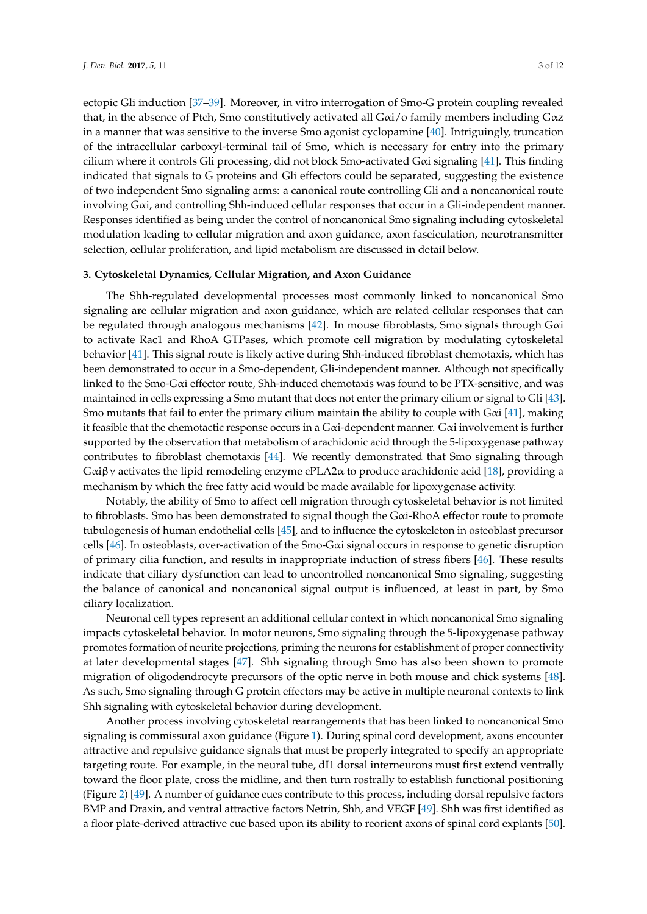ectopic Gli induction [\[37](#page-9-4)[–39\]](#page-9-5). Moreover, in vitro interrogation of Smo-G protein coupling revealed that, in the absence of Ptch, Smo constitutively activated all  $G\alpha i/\sigma$  family members including  $G\alpha z$ in a manner that was sensitive to the inverse Smo agonist cyclopamine [\[40\]](#page-9-6). Intriguingly, truncation of the intracellular carboxyl-terminal tail of Smo, which is necessary for entry into the primary cilium where it controls Gli processing, did not block Smo-activated Gαi signaling [\[41\]](#page-9-7). This finding indicated that signals to G proteins and Gli effectors could be separated, suggesting the existence of two independent Smo signaling arms: a canonical route controlling Gli and a noncanonical route involving Gαi, and controlling Shh-induced cellular responses that occur in a Gli-independent manner. Responses identified as being under the control of noncanonical Smo signaling including cytoskeletal modulation leading to cellular migration and axon guidance, axon fasciculation, neurotransmitter selection, cellular proliferation, and lipid metabolism are discussed in detail below.

### **3. Cytoskeletal Dynamics, Cellular Migration, and Axon Guidance**

The Shh-regulated developmental processes most commonly linked to noncanonical Smo signaling are cellular migration and axon guidance, which are related cellular responses that can be regulated through analogous mechanisms [\[42\]](#page-9-8). In mouse fibroblasts, Smo signals through Gαi to activate Rac1 and RhoA GTPases, which promote cell migration by modulating cytoskeletal behavior [\[41\]](#page-9-7). This signal route is likely active during Shh-induced fibroblast chemotaxis, which has been demonstrated to occur in a Smo-dependent, Gli-independent manner. Although not specifically linked to the Smo-Gαi effector route, Shh-induced chemotaxis was found to be PTX-sensitive, and was maintained in cells expressing a Smo mutant that does not enter the primary cilium or signal to Gli [\[43\]](#page-9-9). Smo mutants that fail to enter the primary cilium maintain the ability to couple with  $G\alpha i$  [\[41\]](#page-9-7), making it feasible that the chemotactic response occurs in a  $G\alpha i$ -dependent manner.  $G\alpha i$  involvement is further supported by the observation that metabolism of arachidonic acid through the 5-lipoxygenase pathway contributes to fibroblast chemotaxis [\[44\]](#page-9-10). We recently demonstrated that Smo signaling through Gαiβγ activates the lipid remodeling enzyme cPLA2 $\alpha$  to produce arachidonic acid [\[18\]](#page-8-3), providing a mechanism by which the free fatty acid would be made available for lipoxygenase activity.

Notably, the ability of Smo to affect cell migration through cytoskeletal behavior is not limited to fibroblasts. Smo has been demonstrated to signal though the Gαi-RhoA effector route to promote tubulogenesis of human endothelial cells [\[45\]](#page-9-11), and to influence the cytoskeleton in osteoblast precursor cells [\[46\]](#page-9-12). In osteoblasts, over-activation of the Smo-Gαi signal occurs in response to genetic disruption of primary cilia function, and results in inappropriate induction of stress fibers [\[46\]](#page-9-12). These results indicate that ciliary dysfunction can lead to uncontrolled noncanonical Smo signaling, suggesting the balance of canonical and noncanonical signal output is influenced, at least in part, by Smo ciliary localization.

Neuronal cell types represent an additional cellular context in which noncanonical Smo signaling impacts cytoskeletal behavior. In motor neurons, Smo signaling through the 5-lipoxygenase pathway promotes formation of neurite projections, priming the neurons for establishment of proper connectivity at later developmental stages [\[47\]](#page-9-13). Shh signaling through Smo has also been shown to promote migration of oligodendrocyte precursors of the optic nerve in both mouse and chick systems [\[48\]](#page-9-14). As such, Smo signaling through G protein effectors may be active in multiple neuronal contexts to link Shh signaling with cytoskeletal behavior during development.

Another process involving cytoskeletal rearrangements that has been linked to noncanonical Smo signaling is commissural axon guidance (Figure [1\)](#page-3-0). During spinal cord development, axons encounter attractive and repulsive guidance signals that must be properly integrated to specify an appropriate targeting route. For example, in the neural tube, dI1 dorsal interneurons must first extend ventrally toward the floor plate, cross the midline, and then turn rostrally to establish functional positioning (Figure [2\)](#page-4-0) [\[49\]](#page-9-15). A number of guidance cues contribute to this process, including dorsal repulsive factors BMP and Draxin, and ventral attractive factors Netrin, Shh, and VEGF [\[49\]](#page-9-15). Shh was first identified as a floor plate-derived attractive cue based upon its ability to reorient axons of spinal cord explants [\[50\]](#page-9-16).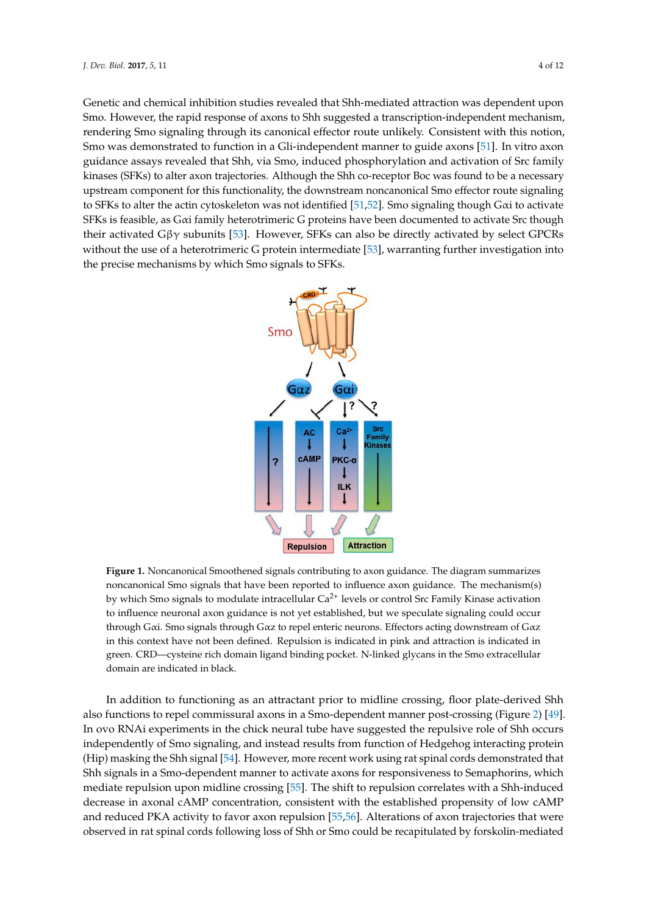Genetic and chemical inhibition studies revealed that Shh-mediated attraction was dependent upon Smo. However, the rapid response of axons to Shh suggested a transcription-independent mechanism, rendering Smo signaling through its canonical effector route unlikely. Consistent with this notion, Smo was demonstrated to function in a Gli-independent manner to guide axons [\[51\]](#page-9-17). In vitro axon guidance assays revealed that Shh, via Smo, induced phosphorylation and activation of Src family inases (SFKs) to alter axon trajectories. Although the Shh co-receptor Boc was found to be a necessary upstream component for this functionality, the downstream noncanonical Smo effector route signaling to SFKs to alter the actin cytoskeleton was not identified [\[51,](#page-9-17)[52\]](#page-9-18). Smo signaling though Gαi to activate SFKs is feasible, as Gαi family heterotrimeric G proteins have been documented to activate Src though their activated Gβγ subunits [\[53\]](#page-9-19). However, SFKs can also be directly activated by select GPCRs without the use of a heterotrimeric G protein intermediate [\[53\]](#page-9-19), warranting further investigation into the precise mechanisms by which Smo signals to SFKs.

<span id="page-3-0"></span>

**Figure 1.** Noncanonical Smoothened signals contributing to axon guidance. The diagram summarizes **Figure 1.** Noncanonical Smoothened signals contributing to axon guidance. The diagram summarizes noncanonical Smo signals that have been reported to influence axon guidance. The mechanism(s) by  $\frac{1}{2}$ by which Smo signals to modulate intracellular  $Ca^{2+}$  levels or control Src Family Kinase activation to influence neuronal axon guidance is not yet established, but we speculate signaling could occur is not yet established, but we speculate signaling could occur through Gαi. Smo signals through Gαz to repel enteric neurons. Effectors acting downstream of Gαz in this context have not been defined. Repulsion is indicated in pink and attraction is indicated in  $\overline{CD}$ green. CRD—cysteine rich domain ligand binding pocket. N-linked glycans in the Smo extracellular green. CRD—cysteine rich domain ligand binding pocket. N-linked glycans in the Smo extracellular domain are indicated in black. domain are indicated in black.

In addition to functioning as an attractant prior to midline crossing, floor plate-derived Shh also functions to repel commissural axons in a Smo-dependent manner post-crossing (Figure 2) [\[4](#page-4-0)9]. In ovo RNAi experiments in the chick neural tube have suggested the repulsive role of Shh occurs independently of Smo signaling, and instead results from function of Hedgehog interacting protein independently of Smo signaling, and instead results from function of Hedgehog interacting protein (Hip) masking the Shh signal [54]. However, more recent work using rat spinal cords demonstrated (Hip) masking the Shh signal [\[54\]](#page-10-0). However, more recent work using rat spinal cords demonstrated that Shh signals in a Smo-dependent manner to activate axons for responsiveness to Semaphorins, which mediate repulsion upon midline crossing [\[55\]](#page-10-1). The shift to repulsion correlates with a Shh-induced decrease in axonal cAMP concentration, consistent with the established propensity of low cAMP and reduced PKA activity to favor axon repulsion [\[55](#page-10-1)[,56\]](#page-10-2). Alterations of axon trajectories that were observed in rat spinal cords following loss of Shh or Smo could be recapitulated by forskolin-mediated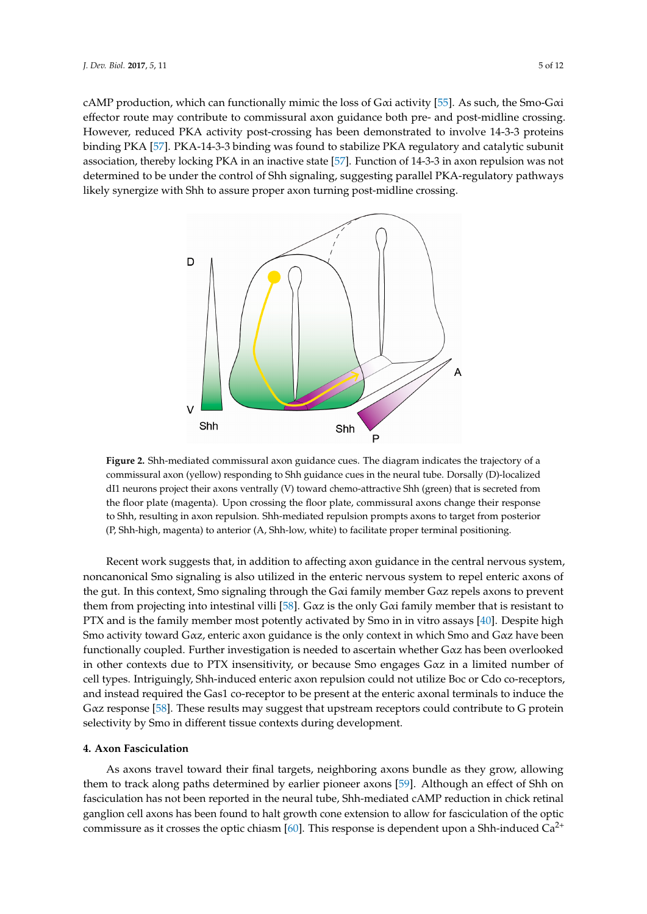cAMP production, which can functionally mimic the loss of Gαi activity [\[55\]](#page-10-1). As such, the Smo-Gαi effector route may contribute to commissural axon guidance both pre- and post-midline crossing. However, reduced PKA activity post-crossing has been demonstrated to involve 14-3-3 proteins binding PKA [\[57\]](#page-10-3). PKA-14-3-3 binding was found to stabilize PKA regulatory and catalytic subunit association, thereby locking PKA in an inactive state [\[57\]](#page-10-3). Function of 14-3-3 in axon repulsion was not determined to be under the control of Shh signaling, suggesting parallel PKA-regulatory pathways likely synergize with Shh to assure proper axon turning post-midline crossing.

<span id="page-4-0"></span>

commissural axon (yellow) responding to Shh guidance cues in the neural tube. Dorsally (D)-localized dI1 neurons project their axons ventrally (V) toward chemo-attractive Shh (green) that is secreted from the floor plate (magenta). Upon crossing the floor plate, commissural axons change their response to Shh, resulting in axon repulsion. Shh-mediated repulsion prompts axons to target from posterior (P, Shh-high, magenta) to anterior (A, Shh-low, white) to facilitate proper terminal positioning. posterior ( $\beta$ ) to anterior (A, Shh-low, which is facilitate proper terminal terminal terminal proper terminal terminal terminal terminal terminal terminal terminal terminal terminal terminal terminal terminal terminal t **Figure 2.** Shh-mediated commissural axon guidance cues. The diagram indicates the trajectory of a

Recent work suggests that, in addition to affecting axon guidance in the central nervous system, noncanonical Smo signaling is also utilized in the enteric nervous system to repel enteric axons of the gut. In this context, Smo signaling through the Gαi family member Gαz repels axons to prevent them from projecting into intestinal villi [\[58\]](#page-10-4). Gαz is the only Gαi family member that is resistant to PTX and is the family member most potently activated by Smo in in vitro assays [\[40\]](#page-9-6). Despite high Smo activity toward Gαz, enteric axon guidance is the only context in which Smo and Gαz have been functionally coupled. Further investigation is needed to ascertain whether Gαz has been overlooked in other contexts due to PTX insensitivity, or because Smo engages Gαz in a limited number of cell types. Intriguingly, Shh-induced enteric axon repulsion could not utilize Boc or Cdo co-receptors, and instead required the Gas1 co-receptor to be present at the enteric axonal terminals to induce the Gαz response [\[58\]](#page-10-4). These results may suggest that upstream receptors could contribute to G protein selectivity by Smo in different tissue contexts during development.

# selectivity by Smo in different tissue contexts during development. **4. Axon Fasciculation**

As axons travel toward their final targets, neighboring axons bundle as they grow, allowing them to track along paths determined by earlier pioneer axons [\[59\]](#page-10-5). Although an effect of Shh on fasciculation has not been reported in the neural tube, Shh-mediated cAMP reduction in chick retinal fasciculation in chick retinal ganglion cell axons has been found to halt growth cone extension to allow for fasciculation of the optic  $\frac{1}{2}$ commissure as it crosses the optic chiasm [\[60\]](#page-10-6). This response is dependent upon a Shh-induced  $Ca^{2+}$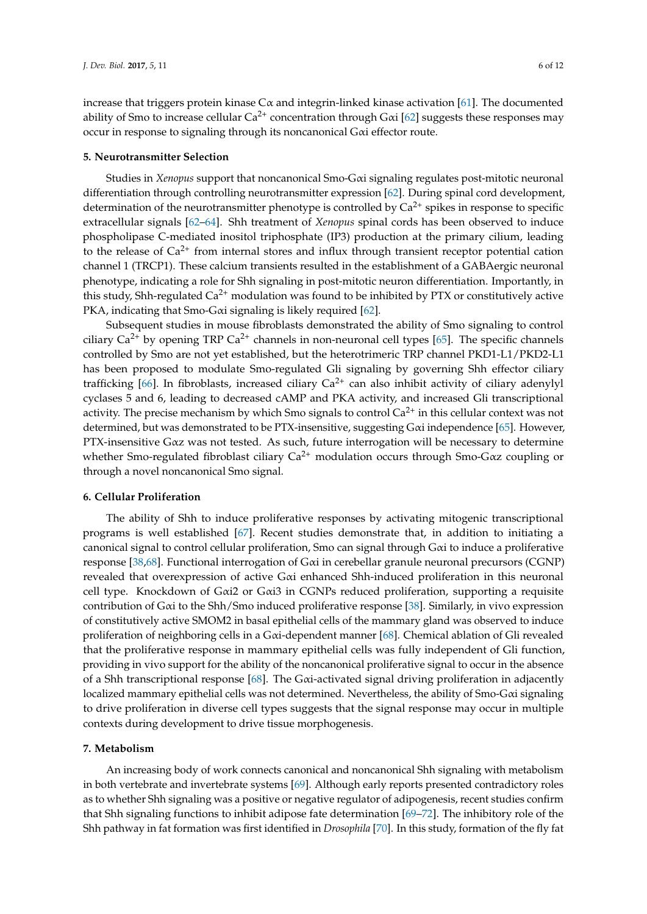increase that triggers protein kinase  $C\alpha$  and integrin-linked kinase activation [\[61\]](#page-10-7). The documented ability of Smo to increase cellular  $Ca^{2+}$  concentration through G $\alpha$ i [\[62\]](#page-10-8) suggests these responses may occur in response to signaling through its noncanonical Gαi effector route.

### **5. Neurotransmitter Selection**

Studies in *Xenopus* support that noncanonical Smo-Gαi signaling regulates post-mitotic neuronal differentiation through controlling neurotransmitter expression [\[62\]](#page-10-8). During spinal cord development, determination of the neurotransmitter phenotype is controlled by  $Ca^{2+}$  spikes in response to specific extracellular signals [\[62–](#page-10-8)[64\]](#page-10-9). Shh treatment of *Xenopus* spinal cords has been observed to induce phospholipase C-mediated inositol triphosphate (IP3) production at the primary cilium, leading to the release of  $Ca^{2+}$  from internal stores and influx through transient receptor potential cation channel 1 (TRCP1). These calcium transients resulted in the establishment of a GABAergic neuronal phenotype, indicating a role for Shh signaling in post-mitotic neuron differentiation. Importantly, in this study, Shh-regulated  $Ca^{2+}$  modulation was found to be inhibited by PTX or constitutively active PKA, indicating that Smo-Gαi signaling is likely required [\[62\]](#page-10-8).

Subsequent studies in mouse fibroblasts demonstrated the ability of Smo signaling to control ciliary  $Ca^{2+}$  by opening TRP  $Ca^{2+}$  channels in non-neuronal cell types [\[65\]](#page-10-10). The specific channels controlled by Smo are not yet established, but the heterotrimeric TRP channel PKD1-L1/PKD2-L1 has been proposed to modulate Smo-regulated Gli signaling by governing Shh effector ciliary trafficking [\[66\]](#page-10-11). In fibroblasts, increased ciliary  $Ca^{2+}$  can also inhibit activity of ciliary adenylyl cyclases 5 and 6, leading to decreased cAMP and PKA activity, and increased Gli transcriptional activity. The precise mechanism by which Smo signals to control  $Ca^{2+}$  in this cellular context was not determined, but was demonstrated to be PTX-insensitive, suggesting Gαi independence [\[65\]](#page-10-10). However, PTX-insensitive Gαz was not tested. As such, future interrogation will be necessary to determine whether Smo-regulated fibroblast ciliary  $Ca^{2+}$  modulation occurs through Smo-G $\alpha$ z coupling or through a novel noncanonical Smo signal.

## **6. Cellular Proliferation**

The ability of Shh to induce proliferative responses by activating mitogenic transcriptional programs is well established [\[67\]](#page-10-12). Recent studies demonstrate that, in addition to initiating a canonical signal to control cellular proliferation, Smo can signal through Gαi to induce a proliferative response [\[38,](#page-9-20)[68\]](#page-10-13). Functional interrogation of Gαi in cerebellar granule neuronal precursors (CGNP) revealed that overexpression of active Gαi enhanced Shh-induced proliferation in this neuronal cell type. Knockdown of Gαi2 or Gαi3 in CGNPs reduced proliferation, supporting a requisite contribution of Gαi to the Shh/Smo induced proliferative response [\[38\]](#page-9-20). Similarly, in vivo expression of constitutively active SMOM2 in basal epithelial cells of the mammary gland was observed to induce proliferation of neighboring cells in a Gαi-dependent manner [\[68\]](#page-10-13). Chemical ablation of Gli revealed that the proliferative response in mammary epithelial cells was fully independent of Gli function, providing in vivo support for the ability of the noncanonical proliferative signal to occur in the absence of a Shh transcriptional response [\[68\]](#page-10-13). The Gαi-activated signal driving proliferation in adjacently localized mammary epithelial cells was not determined. Nevertheless, the ability of Smo-Gαi signaling to drive proliferation in diverse cell types suggests that the signal response may occur in multiple contexts during development to drive tissue morphogenesis.

#### **7. Metabolism**

An increasing body of work connects canonical and noncanonical Shh signaling with metabolism in both vertebrate and invertebrate systems [\[69\]](#page-10-14). Although early reports presented contradictory roles as to whether Shh signaling was a positive or negative regulator of adipogenesis, recent studies confirm that Shh signaling functions to inhibit adipose fate determination [\[69](#page-10-14)[–72\]](#page-10-15). The inhibitory role of the Shh pathway in fat formation was first identified in *Drosophila* [\[70\]](#page-10-16). In this study, formation of the fly fat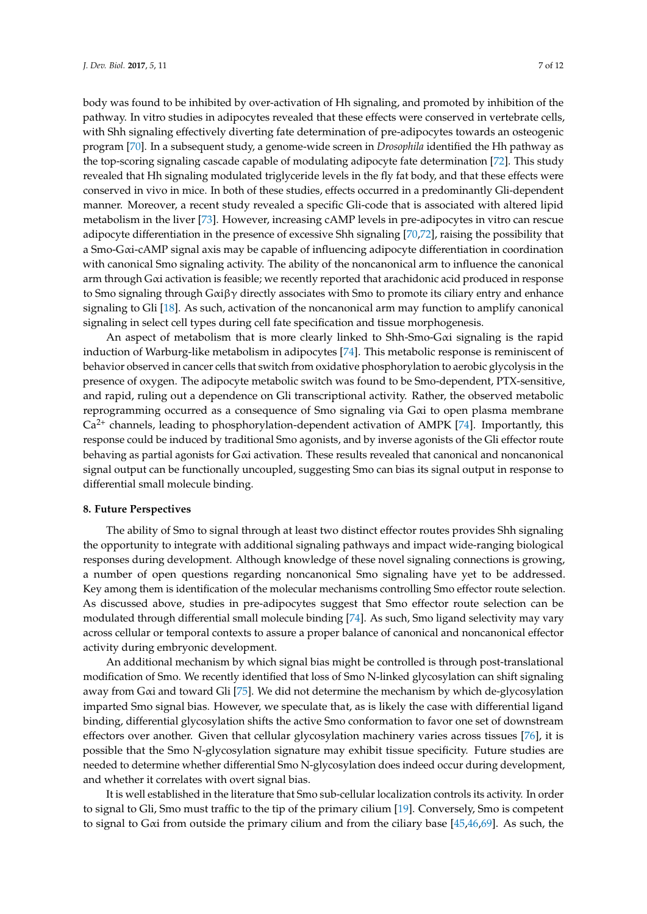body was found to be inhibited by over-activation of Hh signaling, and promoted by inhibition of the pathway. In vitro studies in adipocytes revealed that these effects were conserved in vertebrate cells, with Shh signaling effectively diverting fate determination of pre-adipocytes towards an osteogenic program [\[70\]](#page-10-16). In a subsequent study, a genome-wide screen in *Drosophila* identified the Hh pathway as the top-scoring signaling cascade capable of modulating adipocyte fate determination [\[72\]](#page-10-15). This study revealed that Hh signaling modulated triglyceride levels in the fly fat body, and that these effects were conserved in vivo in mice. In both of these studies, effects occurred in a predominantly Gli-dependent manner. Moreover, a recent study revealed a specific Gli-code that is associated with altered lipid metabolism in the liver [\[73\]](#page-10-17). However, increasing cAMP levels in pre-adipocytes in vitro can rescue adipocyte differentiation in the presence of excessive Shh signaling [\[70](#page-10-16)[,72\]](#page-10-15), raising the possibility that a Smo-Gαi-cAMP signal axis may be capable of influencing adipocyte differentiation in coordination with canonical Smo signaling activity. The ability of the noncanonical arm to influence the canonical arm through Gαi activation is feasible; we recently reported that arachidonic acid produced in response to Smo signaling through  $G\alpha\beta\gamma$  directly associates with Smo to promote its ciliary entry and enhance signaling to Gli [\[18\]](#page-8-3). As such, activation of the noncanonical arm may function to amplify canonical signaling in select cell types during cell fate specification and tissue morphogenesis.

An aspect of metabolism that is more clearly linked to Shh-Smo-Gαi signaling is the rapid induction of Warburg-like metabolism in adipocytes [\[74\]](#page-10-18). This metabolic response is reminiscent of behavior observed in cancer cells that switch from oxidative phosphorylation to aerobic glycolysis in the presence of oxygen. The adipocyte metabolic switch was found to be Smo-dependent, PTX-sensitive, and rapid, ruling out a dependence on Gli transcriptional activity. Rather, the observed metabolic reprogramming occurred as a consequence of Smo signaling via Gαi to open plasma membrane  $Ca<sup>2+</sup>$  channels, leading to phosphorylation-dependent activation of AMPK [\[74\]](#page-10-18). Importantly, this response could be induced by traditional Smo agonists, and by inverse agonists of the Gli effector route behaving as partial agonists for Gαi activation. These results revealed that canonical and noncanonical signal output can be functionally uncoupled, suggesting Smo can bias its signal output in response to differential small molecule binding.

# **8. Future Perspectives**

The ability of Smo to signal through at least two distinct effector routes provides Shh signaling the opportunity to integrate with additional signaling pathways and impact wide-ranging biological responses during development. Although knowledge of these novel signaling connections is growing, a number of open questions regarding noncanonical Smo signaling have yet to be addressed. Key among them is identification of the molecular mechanisms controlling Smo effector route selection. As discussed above, studies in pre-adipocytes suggest that Smo effector route selection can be modulated through differential small molecule binding [\[74\]](#page-10-18). As such, Smo ligand selectivity may vary across cellular or temporal contexts to assure a proper balance of canonical and noncanonical effector activity during embryonic development.

An additional mechanism by which signal bias might be controlled is through post-translational modification of Smo. We recently identified that loss of Smo N-linked glycosylation can shift signaling away from Gαi and toward Gli [\[75\]](#page-11-0). We did not determine the mechanism by which de-glycosylation imparted Smo signal bias. However, we speculate that, as is likely the case with differential ligand binding, differential glycosylation shifts the active Smo conformation to favor one set of downstream effectors over another. Given that cellular glycosylation machinery varies across tissues [\[76\]](#page-11-1), it is possible that the Smo N-glycosylation signature may exhibit tissue specificity. Future studies are needed to determine whether differential Smo N-glycosylation does indeed occur during development, and whether it correlates with overt signal bias.

It is well established in the literature that Smo sub-cellular localization controls its activity. In order to signal to Gli, Smo must traffic to the tip of the primary cilium [\[19\]](#page-8-4). Conversely, Smo is competent to signal to G $\alpha$ i from outside the primary cilium and from the ciliary base [\[45](#page-9-11)[,46](#page-9-12)[,69\]](#page-10-14). As such, the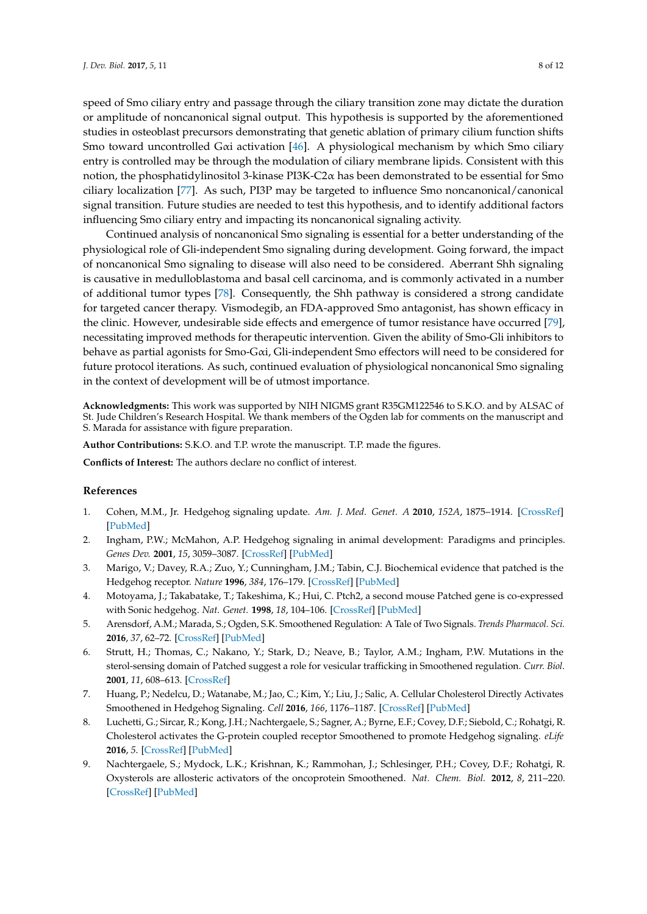speed of Smo ciliary entry and passage through the ciliary transition zone may dictate the duration or amplitude of noncanonical signal output. This hypothesis is supported by the aforementioned studies in osteoblast precursors demonstrating that genetic ablation of primary cilium function shifts Smo toward uncontrolled G $\alpha$ i activation [\[46\]](#page-9-12). A physiological mechanism by which Smo ciliary entry is controlled may be through the modulation of ciliary membrane lipids. Consistent with this notion, the phosphatidylinositol 3-kinase PI3K-C2α has been demonstrated to be essential for Smo ciliary localization [\[77\]](#page-11-2). As such, PI3P may be targeted to influence Smo noncanonical/canonical signal transition. Future studies are needed to test this hypothesis, and to identify additional factors influencing Smo ciliary entry and impacting its noncanonical signaling activity.

Continued analysis of noncanonical Smo signaling is essential for a better understanding of the physiological role of Gli-independent Smo signaling during development. Going forward, the impact of noncanonical Smo signaling to disease will also need to be considered. Aberrant Shh signaling is causative in medulloblastoma and basal cell carcinoma, and is commonly activated in a number of additional tumor types [\[78\]](#page-11-3). Consequently, the Shh pathway is considered a strong candidate for targeted cancer therapy. Vismodegib, an FDA-approved Smo antagonist, has shown efficacy in the clinic. However, undesirable side effects and emergence of tumor resistance have occurred [\[79\]](#page-11-4), necessitating improved methods for therapeutic intervention. Given the ability of Smo-Gli inhibitors to behave as partial agonists for Smo-Gαi, Gli-independent Smo effectors will need to be considered for future protocol iterations. As such, continued evaluation of physiological noncanonical Smo signaling in the context of development will be of utmost importance.

**Acknowledgments:** This work was supported by NIH NIGMS grant R35GM122546 to S.K.O. and by ALSAC of St. Jude Children's Research Hospital. We thank members of the Ogden lab for comments on the manuscript and S. Marada for assistance with figure preparation.

**Author Contributions:** S.K.O. and T.P. wrote the manuscript. T.P. made the figures.

**Conflicts of Interest:** The authors declare no conflict of interest.

## **References**

- <span id="page-7-0"></span>1. Cohen, M.M., Jr. Hedgehog signaling update. *Am. J. Med. Genet. A* **2010**, *152A*, 1875–1914. [\[CrossRef\]](http://dx.doi.org/10.1002/ajmg.a.32909) [\[PubMed\]](http://www.ncbi.nlm.nih.gov/pubmed/20635334)
- <span id="page-7-1"></span>2. Ingham, P.W.; McMahon, A.P. Hedgehog signaling in animal development: Paradigms and principles. *Genes Dev.* **2001**, *15*, 3059–3087. [\[CrossRef\]](http://dx.doi.org/10.1101/gad.938601) [\[PubMed\]](http://www.ncbi.nlm.nih.gov/pubmed/11731473)
- <span id="page-7-2"></span>3. Marigo, V.; Davey, R.A.; Zuo, Y.; Cunningham, J.M.; Tabin, C.J. Biochemical evidence that patched is the Hedgehog receptor. *Nature* **1996**, *384*, 176–179. [\[CrossRef\]](http://dx.doi.org/10.1038/384176a0) [\[PubMed\]](http://www.ncbi.nlm.nih.gov/pubmed/8906794)
- <span id="page-7-3"></span>4. Motoyama, J.; Takabatake, T.; Takeshima, K.; Hui, C. Ptch2, a second mouse Patched gene is co-expressed with Sonic hedgehog. *Nat. Genet.* **1998**, *18*, 104–106. [\[CrossRef\]](http://dx.doi.org/10.1038/ng0298-104) [\[PubMed\]](http://www.ncbi.nlm.nih.gov/pubmed/9462734)
- <span id="page-7-4"></span>5. Arensdorf, A.M.; Marada, S.; Ogden, S.K. Smoothened Regulation: A Tale of Two Signals. *Trends Pharmacol. Sci.* **2016**, *37*, 62–72. [\[CrossRef\]](http://dx.doi.org/10.1016/j.tips.2015.09.001) [\[PubMed\]](http://www.ncbi.nlm.nih.gov/pubmed/26432668)
- <span id="page-7-5"></span>6. Strutt, H.; Thomas, C.; Nakano, Y.; Stark, D.; Neave, B.; Taylor, A.M.; Ingham, P.W. Mutations in the sterol-sensing domain of Patched suggest a role for vesicular trafficking in Smoothened regulation. *Curr. Biol.* **2001**, *11*, 608–613. [\[CrossRef\]](http://dx.doi.org/10.1016/S0960-9822(01)00179-8)
- <span id="page-7-6"></span>7. Huang, P.; Nedelcu, D.; Watanabe, M.; Jao, C.; Kim, Y.; Liu, J.; Salic, A. Cellular Cholesterol Directly Activates Smoothened in Hedgehog Signaling. *Cell* **2016**, *166*, 1176–1187. [\[CrossRef\]](http://dx.doi.org/10.1016/j.cell.2016.08.003) [\[PubMed\]](http://www.ncbi.nlm.nih.gov/pubmed/27545348)
- 8. Luchetti, G.; Sircar, R.; Kong, J.H.; Nachtergaele, S.; Sagner, A.; Byrne, E.F.; Covey, D.F.; Siebold, C.; Rohatgi, R. Cholesterol activates the G-protein coupled receptor Smoothened to promote Hedgehog signaling. *eLife* **2016**, *5*. [\[CrossRef\]](http://dx.doi.org/10.7554/eLife.20304) [\[PubMed\]](http://www.ncbi.nlm.nih.gov/pubmed/27705744)
- <span id="page-7-7"></span>9. Nachtergaele, S.; Mydock, L.K.; Krishnan, K.; Rammohan, J.; Schlesinger, P.H.; Covey, D.F.; Rohatgi, R. Oxysterols are allosteric activators of the oncoprotein Smoothened. *Nat. Chem. Biol.* **2012**, *8*, 211–220. [\[CrossRef\]](http://dx.doi.org/10.1038/nchembio.765) [\[PubMed\]](http://www.ncbi.nlm.nih.gov/pubmed/22231273)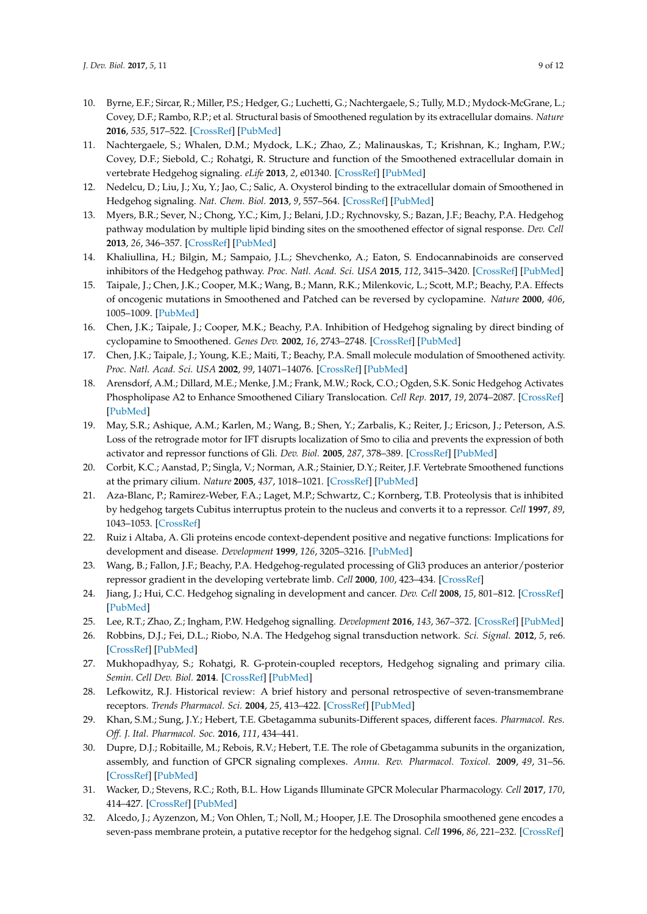- <span id="page-8-0"></span>10. Byrne, E.F.; Sircar, R.; Miller, P.S.; Hedger, G.; Luchetti, G.; Nachtergaele, S.; Tully, M.D.; Mydock-McGrane, L.; Covey, D.F.; Rambo, R.P.; et al. Structural basis of Smoothened regulation by its extracellular domains. *Nature* **2016**, *535*, 517–522. [\[CrossRef\]](http://dx.doi.org/10.1038/nature18934) [\[PubMed\]](http://www.ncbi.nlm.nih.gov/pubmed/27437577)
- 11. Nachtergaele, S.; Whalen, D.M.; Mydock, L.K.; Zhao, Z.; Malinauskas, T.; Krishnan, K.; Ingham, P.W.; Covey, D.F.; Siebold, C.; Rohatgi, R. Structure and function of the Smoothened extracellular domain in vertebrate Hedgehog signaling. *eLife* **2013**, *2*, e01340. [\[CrossRef\]](http://dx.doi.org/10.7554/eLife.01340) [\[PubMed\]](http://www.ncbi.nlm.nih.gov/pubmed/24171105)
- 12. Nedelcu, D.; Liu, J.; Xu, Y.; Jao, C.; Salic, A. Oxysterol binding to the extracellular domain of Smoothened in Hedgehog signaling. *Nat. Chem. Biol.* **2013**, *9*, 557–564. [\[CrossRef\]](http://dx.doi.org/10.1038/nchembio.1290) [\[PubMed\]](http://www.ncbi.nlm.nih.gov/pubmed/23831757)
- <span id="page-8-1"></span>13. Myers, B.R.; Sever, N.; Chong, Y.C.; Kim, J.; Belani, J.D.; Rychnovsky, S.; Bazan, J.F.; Beachy, P.A. Hedgehog pathway modulation by multiple lipid binding sites on the smoothened effector of signal response. *Dev. Cell* **2013**, *26*, 346–357. [\[CrossRef\]](http://dx.doi.org/10.1016/j.devcel.2013.07.015) [\[PubMed\]](http://www.ncbi.nlm.nih.gov/pubmed/23954590)
- <span id="page-8-2"></span>14. Khaliullina, H.; Bilgin, M.; Sampaio, J.L.; Shevchenko, A.; Eaton, S. Endocannabinoids are conserved inhibitors of the Hedgehog pathway. *Proc. Natl. Acad. Sci. USA* **2015**, *112*, 3415–3420. [\[CrossRef\]](http://dx.doi.org/10.1073/pnas.1416463112) [\[PubMed\]](http://www.ncbi.nlm.nih.gov/pubmed/25733905)
- 15. Taipale, J.; Chen, J.K.; Cooper, M.K.; Wang, B.; Mann, R.K.; Milenkovic, L.; Scott, M.P.; Beachy, P.A. Effects of oncogenic mutations in Smoothened and Patched can be reversed by cyclopamine. *Nature* **2000**, *406*, 1005–1009. [\[PubMed\]](http://www.ncbi.nlm.nih.gov/pubmed/10984056)
- 16. Chen, J.K.; Taipale, J.; Cooper, M.K.; Beachy, P.A. Inhibition of Hedgehog signaling by direct binding of cyclopamine to Smoothened. *Genes Dev.* **2002**, *16*, 2743–2748. [\[CrossRef\]](http://dx.doi.org/10.1101/gad.1025302) [\[PubMed\]](http://www.ncbi.nlm.nih.gov/pubmed/12414725)
- 17. Chen, J.K.; Taipale, J.; Young, K.E.; Maiti, T.; Beachy, P.A. Small molecule modulation of Smoothened activity. *Proc. Natl. Acad. Sci. USA* **2002**, *99*, 14071–14076. [\[CrossRef\]](http://dx.doi.org/10.1073/pnas.182542899) [\[PubMed\]](http://www.ncbi.nlm.nih.gov/pubmed/12391318)
- <span id="page-8-3"></span>18. Arensdorf, A.M.; Dillard, M.E.; Menke, J.M.; Frank, M.W.; Rock, C.O.; Ogden, S.K. Sonic Hedgehog Activates Phospholipase A2 to Enhance Smoothened Ciliary Translocation. *Cell Rep.* **2017**, *19*, 2074–2087. [\[CrossRef\]](http://dx.doi.org/10.1016/j.celrep.2017.05.033) [\[PubMed\]](http://www.ncbi.nlm.nih.gov/pubmed/28591579)
- <span id="page-8-4"></span>19. May, S.R.; Ashique, A.M.; Karlen, M.; Wang, B.; Shen, Y.; Zarbalis, K.; Reiter, J.; Ericson, J.; Peterson, A.S. Loss of the retrograde motor for IFT disrupts localization of Smo to cilia and prevents the expression of both activator and repressor functions of Gli. *Dev. Biol.* **2005**, *287*, 378–389. [\[CrossRef\]](http://dx.doi.org/10.1016/j.ydbio.2005.08.050) [\[PubMed\]](http://www.ncbi.nlm.nih.gov/pubmed/16229832)
- <span id="page-8-5"></span>20. Corbit, K.C.; Aanstad, P.; Singla, V.; Norman, A.R.; Stainier, D.Y.; Reiter, J.F. Vertebrate Smoothened functions at the primary cilium. *Nature* **2005**, *437*, 1018–1021. [\[CrossRef\]](http://dx.doi.org/10.1038/nature04117) [\[PubMed\]](http://www.ncbi.nlm.nih.gov/pubmed/16136078)
- <span id="page-8-6"></span>21. Aza-Blanc, P.; Ramirez-Weber, F.A.; Laget, M.P.; Schwartz, C.; Kornberg, T.B. Proteolysis that is inhibited by hedgehog targets Cubitus interruptus protein to the nucleus and converts it to a repressor. *Cell* **1997**, *89*, 1043–1053. [\[CrossRef\]](http://dx.doi.org/10.1016/S0092-8674(00)80292-5)
- <span id="page-8-8"></span>22. Ruiz i Altaba, A. Gli proteins encode context-dependent positive and negative functions: Implications for development and disease. *Development* **1999**, *126*, 3205–3216. [\[PubMed\]](http://www.ncbi.nlm.nih.gov/pubmed/10375510)
- <span id="page-8-7"></span>23. Wang, B.; Fallon, J.F.; Beachy, P.A. Hedgehog-regulated processing of Gli3 produces an anterior/posterior repressor gradient in the developing vertebrate limb. *Cell* **2000**, *100*, 423–434. [\[CrossRef\]](http://dx.doi.org/10.1016/S0092-8674(00)80678-9)
- <span id="page-8-9"></span>24. Jiang, J.; Hui, C.C. Hedgehog signaling in development and cancer. *Dev. Cell* **2008**, *15*, 801–812. [\[CrossRef\]](http://dx.doi.org/10.1016/j.devcel.2008.11.010) [\[PubMed\]](http://www.ncbi.nlm.nih.gov/pubmed/19081070)
- 25. Lee, R.T.; Zhao, Z.; Ingham, P.W. Hedgehog signalling. *Development* **2016**, *143*, 367–372. [\[CrossRef\]](http://dx.doi.org/10.1242/dev.120154) [\[PubMed\]](http://www.ncbi.nlm.nih.gov/pubmed/26839340)
- <span id="page-8-11"></span>26. Robbins, D.J.; Fei, D.L.; Riobo, N.A. The Hedgehog signal transduction network. *Sci. Signal.* **2012**, *5*, re6. [\[CrossRef\]](http://dx.doi.org/10.1126/scisignal.2002906) [\[PubMed\]](http://www.ncbi.nlm.nih.gov/pubmed/23074268)
- <span id="page-8-10"></span>27. Mukhopadhyay, S.; Rohatgi, R. G-protein-coupled receptors, Hedgehog signaling and primary cilia. *Semin. Cell Dev. Biol.* **2014**. [\[CrossRef\]](http://dx.doi.org/10.1016/j.semcdb.2014.05.002) [\[PubMed\]](http://www.ncbi.nlm.nih.gov/pubmed/24845016)
- <span id="page-8-12"></span>28. Lefkowitz, R.J. Historical review: A brief history and personal retrospective of seven-transmembrane receptors. *Trends Pharmacol. Sci.* **2004**, *25*, 413–422. [\[CrossRef\]](http://dx.doi.org/10.1016/j.tips.2004.06.006) [\[PubMed\]](http://www.ncbi.nlm.nih.gov/pubmed/15276710)
- <span id="page-8-13"></span>29. Khan, S.M.; Sung, J.Y.; Hebert, T.E. Gbetagamma subunits-Different spaces, different faces. *Pharmacol. Res. Off. J. Ital. Pharmacol. Soc.* **2016**, *111*, 434–441.
- 30. Dupre, D.J.; Robitaille, M.; Rebois, R.V.; Hebert, T.E. The role of Gbetagamma subunits in the organization, assembly, and function of GPCR signaling complexes. *Annu. Rev. Pharmacol. Toxicol.* **2009**, *49*, 31–56. [\[CrossRef\]](http://dx.doi.org/10.1146/annurev-pharmtox-061008-103038) [\[PubMed\]](http://www.ncbi.nlm.nih.gov/pubmed/18834311)
- <span id="page-8-14"></span>31. Wacker, D.; Stevens, R.C.; Roth, B.L. How Ligands Illuminate GPCR Molecular Pharmacology. *Cell* **2017**, *170*, 414–427. [\[CrossRef\]](http://dx.doi.org/10.1016/j.cell.2017.07.009) [\[PubMed\]](http://www.ncbi.nlm.nih.gov/pubmed/28753422)
- <span id="page-8-15"></span>32. Alcedo, J.; Ayzenzon, M.; Von Ohlen, T.; Noll, M.; Hooper, J.E. The Drosophila smoothened gene encodes a seven-pass membrane protein, a putative receptor for the hedgehog signal. *Cell* **1996**, *86*, 221–232. [\[CrossRef\]](http://dx.doi.org/10.1016/S0092-8674(00)80094-X)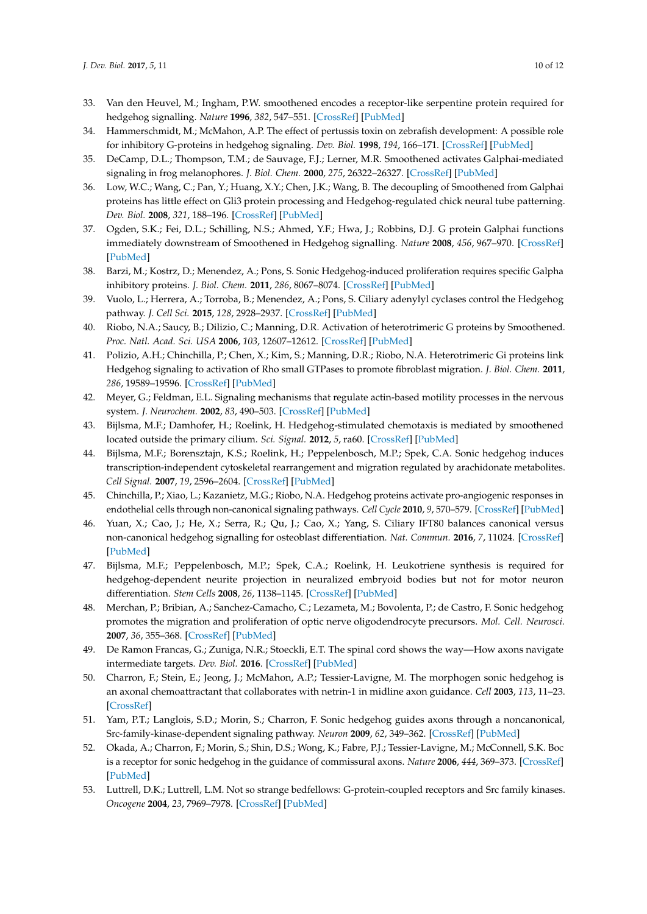- <span id="page-9-0"></span>33. Van den Heuvel, M.; Ingham, P.W. smoothened encodes a receptor-like serpentine protein required for hedgehog signalling. *Nature* **1996**, *382*, 547–551. [\[CrossRef\]](http://dx.doi.org/10.1038/382547a0) [\[PubMed\]](http://www.ncbi.nlm.nih.gov/pubmed/8700230)
- <span id="page-9-1"></span>34. Hammerschmidt, M.; McMahon, A.P. The effect of pertussis toxin on zebrafish development: A possible role for inhibitory G-proteins in hedgehog signaling. *Dev. Biol.* **1998**, *194*, 166–171. [\[CrossRef\]](http://dx.doi.org/10.1006/dbio.1997.8796) [\[PubMed\]](http://www.ncbi.nlm.nih.gov/pubmed/9501021)
- <span id="page-9-2"></span>35. DeCamp, D.L.; Thompson, T.M.; de Sauvage, F.J.; Lerner, M.R. Smoothened activates Galphai-mediated signaling in frog melanophores. *J. Biol. Chem.* **2000**, *275*, 26322–26327. [\[CrossRef\]](http://dx.doi.org/10.1074/jbc.M004055200) [\[PubMed\]](http://www.ncbi.nlm.nih.gov/pubmed/10835429)
- <span id="page-9-3"></span>36. Low, W.C.; Wang, C.; Pan, Y.; Huang, X.Y.; Chen, J.K.; Wang, B. The decoupling of Smoothened from Galphai proteins has little effect on Gli3 protein processing and Hedgehog-regulated chick neural tube patterning. *Dev. Biol.* **2008**, *321*, 188–196. [\[CrossRef\]](http://dx.doi.org/10.1016/j.ydbio.2008.06.014) [\[PubMed\]](http://www.ncbi.nlm.nih.gov/pubmed/18590719)
- <span id="page-9-4"></span>37. Ogden, S.K.; Fei, D.L.; Schilling, N.S.; Ahmed, Y.F.; Hwa, J.; Robbins, D.J. G protein Galphai functions immediately downstream of Smoothened in Hedgehog signalling. *Nature* **2008**, *456*, 967–970. [\[CrossRef\]](http://dx.doi.org/10.1038/nature07459) [\[PubMed\]](http://www.ncbi.nlm.nih.gov/pubmed/18987629)
- <span id="page-9-20"></span>38. Barzi, M.; Kostrz, D.; Menendez, A.; Pons, S. Sonic Hedgehog-induced proliferation requires specific Galpha inhibitory proteins. *J. Biol. Chem.* **2011**, *286*, 8067–8074. [\[CrossRef\]](http://dx.doi.org/10.1074/jbc.M110.178772) [\[PubMed\]](http://www.ncbi.nlm.nih.gov/pubmed/21209076)
- <span id="page-9-5"></span>39. Vuolo, L.; Herrera, A.; Torroba, B.; Menendez, A.; Pons, S. Ciliary adenylyl cyclases control the Hedgehog pathway. *J. Cell Sci.* **2015**, *128*, 2928–2937. [\[CrossRef\]](http://dx.doi.org/10.1242/jcs.172635) [\[PubMed\]](http://www.ncbi.nlm.nih.gov/pubmed/26092933)
- <span id="page-9-6"></span>40. Riobo, N.A.; Saucy, B.; Dilizio, C.; Manning, D.R. Activation of heterotrimeric G proteins by Smoothened. *Proc. Natl. Acad. Sci. USA* **2006**, *103*, 12607–12612. [\[CrossRef\]](http://dx.doi.org/10.1073/pnas.0600880103) [\[PubMed\]](http://www.ncbi.nlm.nih.gov/pubmed/16885213)
- <span id="page-9-7"></span>41. Polizio, A.H.; Chinchilla, P.; Chen, X.; Kim, S.; Manning, D.R.; Riobo, N.A. Heterotrimeric Gi proteins link Hedgehog signaling to activation of Rho small GTPases to promote fibroblast migration. *J. Biol. Chem.* **2011**, *286*, 19589–19596. [\[CrossRef\]](http://dx.doi.org/10.1074/jbc.M110.197111) [\[PubMed\]](http://www.ncbi.nlm.nih.gov/pubmed/21474452)
- <span id="page-9-8"></span>42. Meyer, G.; Feldman, E.L. Signaling mechanisms that regulate actin-based motility processes in the nervous system. *J. Neurochem.* **2002**, *83*, 490–503. [\[CrossRef\]](http://dx.doi.org/10.1046/j.1471-4159.2002.01185.x) [\[PubMed\]](http://www.ncbi.nlm.nih.gov/pubmed/12390511)
- <span id="page-9-9"></span>43. Bijlsma, M.F.; Damhofer, H.; Roelink, H. Hedgehog-stimulated chemotaxis is mediated by smoothened located outside the primary cilium. *Sci. Signal.* **2012**, *5*, ra60. [\[CrossRef\]](http://dx.doi.org/10.1126/scisignal.2002798) [\[PubMed\]](http://www.ncbi.nlm.nih.gov/pubmed/22912493)
- <span id="page-9-10"></span>44. Bijlsma, M.F.; Borensztajn, K.S.; Roelink, H.; Peppelenbosch, M.P.; Spek, C.A. Sonic hedgehog induces transcription-independent cytoskeletal rearrangement and migration regulated by arachidonate metabolites. *Cell Signal.* **2007**, *19*, 2596–2604. [\[CrossRef\]](http://dx.doi.org/10.1016/j.cellsig.2007.08.011) [\[PubMed\]](http://www.ncbi.nlm.nih.gov/pubmed/17884337)
- <span id="page-9-11"></span>45. Chinchilla, P.; Xiao, L.; Kazanietz, M.G.; Riobo, N.A. Hedgehog proteins activate pro-angiogenic responses in endothelial cells through non-canonical signaling pathways. *Cell Cycle* **2010**, *9*, 570–579. [\[CrossRef\]](http://dx.doi.org/10.4161/cc.9.3.10591) [\[PubMed\]](http://www.ncbi.nlm.nih.gov/pubmed/20081366)
- <span id="page-9-12"></span>46. Yuan, X.; Cao, J.; He, X.; Serra, R.; Qu, J.; Cao, X.; Yang, S. Ciliary IFT80 balances canonical versus non-canonical hedgehog signalling for osteoblast differentiation. *Nat. Commun.* **2016**, *7*, 11024. [\[CrossRef\]](http://dx.doi.org/10.1038/ncomms11024) [\[PubMed\]](http://www.ncbi.nlm.nih.gov/pubmed/26996322)
- <span id="page-9-13"></span>47. Bijlsma, M.F.; Peppelenbosch, M.P.; Spek, C.A.; Roelink, H. Leukotriene synthesis is required for hedgehog-dependent neurite projection in neuralized embryoid bodies but not for motor neuron differentiation. *Stem Cells* **2008**, *26*, 1138–1145. [\[CrossRef\]](http://dx.doi.org/10.1634/stemcells.2007-0841) [\[PubMed\]](http://www.ncbi.nlm.nih.gov/pubmed/18292210)
- <span id="page-9-14"></span>48. Merchan, P.; Bribian, A.; Sanchez-Camacho, C.; Lezameta, M.; Bovolenta, P.; de Castro, F. Sonic hedgehog promotes the migration and proliferation of optic nerve oligodendrocyte precursors. *Mol. Cell. Neurosci.* **2007**, *36*, 355–368. [\[CrossRef\]](http://dx.doi.org/10.1016/j.mcn.2007.07.012) [\[PubMed\]](http://www.ncbi.nlm.nih.gov/pubmed/17826177)
- <span id="page-9-15"></span>49. De Ramon Francas, G.; Zuniga, N.R.; Stoeckli, E.T. The spinal cord shows the way—How axons navigate intermediate targets. *Dev. Biol.* **2016**. [\[CrossRef\]](http://dx.doi.org/10.1016/j.ydbio.2016.12.002) [\[PubMed\]](http://www.ncbi.nlm.nih.gov/pubmed/27965053)
- <span id="page-9-16"></span>50. Charron, F.; Stein, E.; Jeong, J.; McMahon, A.P.; Tessier-Lavigne, M. The morphogen sonic hedgehog is an axonal chemoattractant that collaborates with netrin-1 in midline axon guidance. *Cell* **2003**, *113*, 11–23. [\[CrossRef\]](http://dx.doi.org/10.1016/S0092-8674(03)00199-5)
- <span id="page-9-17"></span>51. Yam, P.T.; Langlois, S.D.; Morin, S.; Charron, F. Sonic hedgehog guides axons through a noncanonical, Src-family-kinase-dependent signaling pathway. *Neuron* **2009**, *62*, 349–362. [\[CrossRef\]](http://dx.doi.org/10.1016/j.neuron.2009.03.022) [\[PubMed\]](http://www.ncbi.nlm.nih.gov/pubmed/19447091)
- <span id="page-9-18"></span>52. Okada, A.; Charron, F.; Morin, S.; Shin, D.S.; Wong, K.; Fabre, P.J.; Tessier-Lavigne, M.; McConnell, S.K. Boc is a receptor for sonic hedgehog in the guidance of commissural axons. *Nature* **2006**, *444*, 369–373. [\[CrossRef\]](http://dx.doi.org/10.1038/nature05246) [\[PubMed\]](http://www.ncbi.nlm.nih.gov/pubmed/17086203)
- <span id="page-9-19"></span>53. Luttrell, D.K.; Luttrell, L.M. Not so strange bedfellows: G-protein-coupled receptors and Src family kinases. *Oncogene* **2004**, *23*, 7969–7978. [\[CrossRef\]](http://dx.doi.org/10.1038/sj.onc.1208162) [\[PubMed\]](http://www.ncbi.nlm.nih.gov/pubmed/15489914)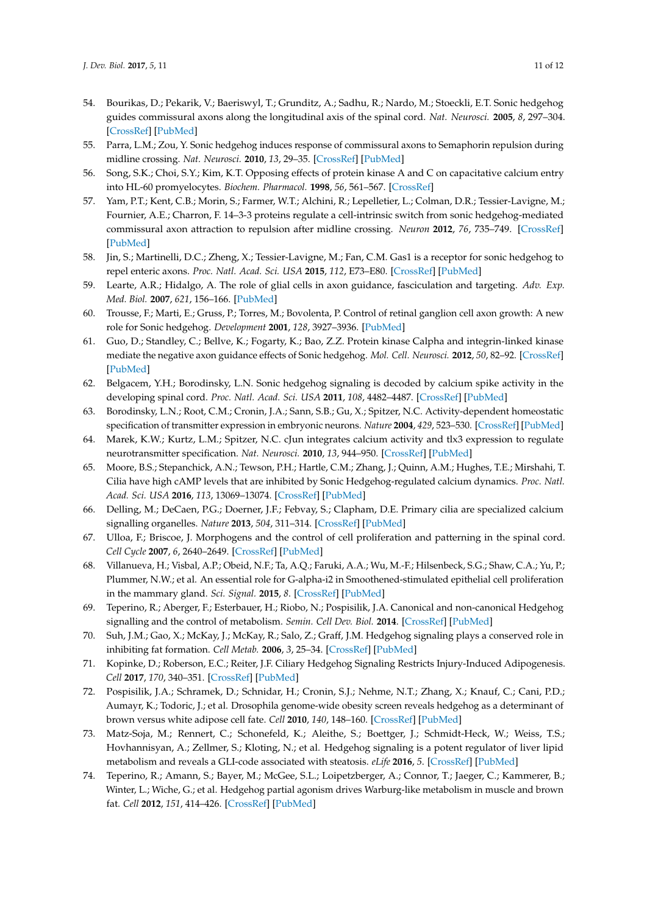- <span id="page-10-0"></span>54. Bourikas, D.; Pekarik, V.; Baeriswyl, T.; Grunditz, A.; Sadhu, R.; Nardo, M.; Stoeckli, E.T. Sonic hedgehog guides commissural axons along the longitudinal axis of the spinal cord. *Nat. Neurosci.* **2005**, *8*, 297–304. [\[CrossRef\]](http://dx.doi.org/10.1038/nn1396) [\[PubMed\]](http://www.ncbi.nlm.nih.gov/pubmed/15746914)
- <span id="page-10-1"></span>55. Parra, L.M.; Zou, Y. Sonic hedgehog induces response of commissural axons to Semaphorin repulsion during midline crossing. *Nat. Neurosci.* **2010**, *13*, 29–35. [\[CrossRef\]](http://dx.doi.org/10.1038/nn.2457) [\[PubMed\]](http://www.ncbi.nlm.nih.gov/pubmed/19946319)
- <span id="page-10-2"></span>56. Song, S.K.; Choi, S.Y.; Kim, K.T. Opposing effects of protein kinase A and C on capacitative calcium entry into HL-60 promyelocytes. *Biochem. Pharmacol.* **1998**, *56*, 561–567. [\[CrossRef\]](http://dx.doi.org/10.1016/S0006-2952(97)00660-6)
- <span id="page-10-3"></span>57. Yam, P.T.; Kent, C.B.; Morin, S.; Farmer, W.T.; Alchini, R.; Lepelletier, L.; Colman, D.R.; Tessier-Lavigne, M.; Fournier, A.E.; Charron, F. 14–3-3 proteins regulate a cell-intrinsic switch from sonic hedgehog-mediated commissural axon attraction to repulsion after midline crossing. *Neuron* **2012**, *76*, 735–749. [\[CrossRef\]](http://dx.doi.org/10.1016/j.neuron.2012.09.017) [\[PubMed\]](http://www.ncbi.nlm.nih.gov/pubmed/23177959)
- <span id="page-10-4"></span>58. Jin, S.; Martinelli, D.C.; Zheng, X.; Tessier-Lavigne, M.; Fan, C.M. Gas1 is a receptor for sonic hedgehog to repel enteric axons. *Proc. Natl. Acad. Sci. USA* **2015**, *112*, E73–E80. [\[CrossRef\]](http://dx.doi.org/10.1073/pnas.1418629112) [\[PubMed\]](http://www.ncbi.nlm.nih.gov/pubmed/25535338)
- <span id="page-10-5"></span>59. Learte, A.R.; Hidalgo, A. The role of glial cells in axon guidance, fasciculation and targeting. *Adv. Exp. Med. Biol.* **2007**, *621*, 156–166. [\[PubMed\]](http://www.ncbi.nlm.nih.gov/pubmed/18269218)
- <span id="page-10-6"></span>60. Trousse, F.; Marti, E.; Gruss, P.; Torres, M.; Bovolenta, P. Control of retinal ganglion cell axon growth: A new role for Sonic hedgehog. *Development* **2001**, *128*, 3927–3936. [\[PubMed\]](http://www.ncbi.nlm.nih.gov/pubmed/11641217)
- <span id="page-10-7"></span>61. Guo, D.; Standley, C.; Bellve, K.; Fogarty, K.; Bao, Z.Z. Protein kinase Calpha and integrin-linked kinase mediate the negative axon guidance effects of Sonic hedgehog. *Mol. Cell. Neurosci.* **2012**, *50*, 82–92. [\[CrossRef\]](http://dx.doi.org/10.1016/j.mcn.2012.03.008) [\[PubMed\]](http://www.ncbi.nlm.nih.gov/pubmed/22521536)
- <span id="page-10-8"></span>62. Belgacem, Y.H.; Borodinsky, L.N. Sonic hedgehog signaling is decoded by calcium spike activity in the developing spinal cord. *Proc. Natl. Acad. Sci. USA* **2011**, *108*, 4482–4487. [\[CrossRef\]](http://dx.doi.org/10.1073/pnas.1018217108) [\[PubMed\]](http://www.ncbi.nlm.nih.gov/pubmed/21368195)
- 63. Borodinsky, L.N.; Root, C.M.; Cronin, J.A.; Sann, S.B.; Gu, X.; Spitzer, N.C. Activity-dependent homeostatic specification of transmitter expression in embryonic neurons. *Nature* **2004**, *429*, 523–530. [\[CrossRef\]](http://dx.doi.org/10.1038/nature02518) [\[PubMed\]](http://www.ncbi.nlm.nih.gov/pubmed/15175743)
- <span id="page-10-9"></span>64. Marek, K.W.; Kurtz, L.M.; Spitzer, N.C. cJun integrates calcium activity and tlx3 expression to regulate neurotransmitter specification. *Nat. Neurosci.* **2010**, *13*, 944–950. [\[CrossRef\]](http://dx.doi.org/10.1038/nn.2582) [\[PubMed\]](http://www.ncbi.nlm.nih.gov/pubmed/20581840)
- <span id="page-10-10"></span>65. Moore, B.S.; Stepanchick, A.N.; Tewson, P.H.; Hartle, C.M.; Zhang, J.; Quinn, A.M.; Hughes, T.E.; Mirshahi, T. Cilia have high cAMP levels that are inhibited by Sonic Hedgehog-regulated calcium dynamics. *Proc. Natl. Acad. Sci. USA* **2016**, *113*, 13069–13074. [\[CrossRef\]](http://dx.doi.org/10.1073/pnas.1602393113) [\[PubMed\]](http://www.ncbi.nlm.nih.gov/pubmed/27799542)
- <span id="page-10-11"></span>66. Delling, M.; DeCaen, P.G.; Doerner, J.F.; Febvay, S.; Clapham, D.E. Primary cilia are specialized calcium signalling organelles. *Nature* **2013**, *504*, 311–314. [\[CrossRef\]](http://dx.doi.org/10.1038/nature12833) [\[PubMed\]](http://www.ncbi.nlm.nih.gov/pubmed/24336288)
- <span id="page-10-12"></span>67. Ulloa, F.; Briscoe, J. Morphogens and the control of cell proliferation and patterning in the spinal cord. *Cell Cycle* **2007**, *6*, 2640–2649. [\[CrossRef\]](http://dx.doi.org/10.4161/cc.6.21.4822) [\[PubMed\]](http://www.ncbi.nlm.nih.gov/pubmed/17912034)
- <span id="page-10-13"></span>68. Villanueva, H.; Visbal, A.P.; Obeid, N.F.; Ta, A.Q.; Faruki, A.A.; Wu, M.-F.; Hilsenbeck, S.G.; Shaw, C.A.; Yu, P.; Plummer, N.W.; et al. An essential role for G-alpha-i2 in Smoothened-stimulated epithelial cell proliferation in the mammary gland. *Sci. Signal.* **2015**, *8*. [\[CrossRef\]](http://dx.doi.org/10.1126/scisignal.aaa7355) [\[PubMed\]](http://www.ncbi.nlm.nih.gov/pubmed/26373672)
- <span id="page-10-14"></span>69. Teperino, R.; Aberger, F.; Esterbauer, H.; Riobo, N.; Pospisilik, J.A. Canonical and non-canonical Hedgehog signalling and the control of metabolism. *Semin. Cell Dev. Biol.* **2014**. [\[CrossRef\]](http://dx.doi.org/10.1016/j.semcdb.2014.05.007) [\[PubMed\]](http://www.ncbi.nlm.nih.gov/pubmed/24862854)
- <span id="page-10-16"></span>70. Suh, J.M.; Gao, X.; McKay, J.; McKay, R.; Salo, Z.; Graff, J.M. Hedgehog signaling plays a conserved role in inhibiting fat formation. *Cell Metab.* **2006**, *3*, 25–34. [\[CrossRef\]](http://dx.doi.org/10.1016/j.cmet.2005.11.012) [\[PubMed\]](http://www.ncbi.nlm.nih.gov/pubmed/16399502)
- 71. Kopinke, D.; Roberson, E.C.; Reiter, J.F. Ciliary Hedgehog Signaling Restricts Injury-Induced Adipogenesis. *Cell* **2017**, *170*, 340–351. [\[CrossRef\]](http://dx.doi.org/10.1016/j.cell.2017.06.035) [\[PubMed\]](http://www.ncbi.nlm.nih.gov/pubmed/28709001)
- <span id="page-10-15"></span>72. Pospisilik, J.A.; Schramek, D.; Schnidar, H.; Cronin, S.J.; Nehme, N.T.; Zhang, X.; Knauf, C.; Cani, P.D.; Aumayr, K.; Todoric, J.; et al. Drosophila genome-wide obesity screen reveals hedgehog as a determinant of brown versus white adipose cell fate. *Cell* **2010**, *140*, 148–160. [\[CrossRef\]](http://dx.doi.org/10.1016/j.cell.2009.12.027) [\[PubMed\]](http://www.ncbi.nlm.nih.gov/pubmed/20074523)
- <span id="page-10-17"></span>73. Matz-Soja, M.; Rennert, C.; Schonefeld, K.; Aleithe, S.; Boettger, J.; Schmidt-Heck, W.; Weiss, T.S.; Hovhannisyan, A.; Zellmer, S.; Kloting, N.; et al. Hedgehog signaling is a potent regulator of liver lipid metabolism and reveals a GLI-code associated with steatosis. *eLife* **2016**, *5*. [\[CrossRef\]](http://dx.doi.org/10.7554/eLife.13308) [\[PubMed\]](http://www.ncbi.nlm.nih.gov/pubmed/27185526)
- <span id="page-10-18"></span>74. Teperino, R.; Amann, S.; Bayer, M.; McGee, S.L.; Loipetzberger, A.; Connor, T.; Jaeger, C.; Kammerer, B.; Winter, L.; Wiche, G.; et al. Hedgehog partial agonism drives Warburg-like metabolism in muscle and brown fat. *Cell* **2012**, *151*, 414–426. [\[CrossRef\]](http://dx.doi.org/10.1016/j.cell.2012.09.021) [\[PubMed\]](http://www.ncbi.nlm.nih.gov/pubmed/23063129)